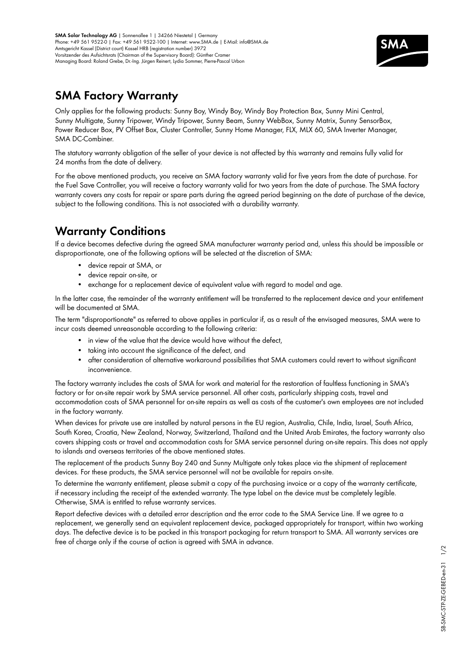**SMA Solar Technology AG** | Sonnenallee 1 | 34266 Niestetal | Germany Phone: +49 561 9522-0 | Fax: +49 561 9522-100 | Internet: www.SMA.de | E-Mail: info@SMA.de Amtsgericht Kassel (District court) Kassel HRB (registration number) 3972 Vorsitzender des Aufsichtsrats (Chairman of the Supervisory Board): Günther Cramer Managing Board: Roland Grebe, Dr.-Ing. Jürgen Reinert, Lydia Sommer, Pierre-Pascal Urbon



## **SMA Factory Warranty**

Only applies for the following products: Sunny Boy, Windy Boy, Windy Boy Protection Box, Sunny Mini Central, Sunny Multigate, Sunny Tripower, Windy Tripower, Sunny Beam, Sunny WebBox, Sunny Matrix, Sunny SensorBox, Power Reducer Box, PV Offset Box, Cluster Controller, Sunny Home Manager, FLX, MLX 60, SMA Inverter Manager, SMA DC-Combiner.

The statutory warranty obligation of the seller of your device is not affected by this warranty and remains fully valid for 24 months from the date of delivery.

For the above mentioned products, you receive an SMA factory warranty valid for five years from the date of purchase. For the Fuel Save Controller, you will receive a factory warranty valid for two years from the date of purchase. The SMA factory warranty covers any costs for repair or spare parts during the agreed period beginning on the date of purchase of the device, subject to the following conditions. This is not associated with a durability warranty.

## **Warranty Conditions**

If a device becomes defective during the agreed SMA manufacturer warranty period and, unless this should be impossible or disproportionate, one of the following options will be selected at the discretion of SMA:

- • device repair at SMA, or
- device repair on-site, or
- exchange for a replacement device of equivalent value with regard to model and age.

In the latter case, the remainder of the warranty entitlement will be transferred to the replacement device and your entitlement will be documented at SMA.

The term "disproportionate" as referred to above applies in particular if, as a result of the envisaged measures, SMA were to incur costs deemed unreasonable according to the following criteria:

- in view of the value that the device would have without the defect,
- taking into account the significance of the defect, and
- • after consideration of alternative workaround possibilities that SMA customers could revert to without significant inconvenience.

The factory warranty includes the costs of SMA for work and material for the restoration of faultless functioning in SMA's factory or for on-site repair work by SMA service personnel. All other costs, particularly shipping costs, travel and accommodation costs of SMA personnel for on-site repairs as well as costs of the customer's own employees are not included in the factory warranty.

When devices for private use are installed by natural persons in the EU region, Australia, Chile, India, Israel, South Africa, South Korea, Croatia, New Zealand, Norway, Switzerland, Thailand and the United Arab Emirates, the factory warranty also covers shipping costs or travel and accommodation costs for SMA service personnel during on-site repairs. This does not apply to islands and overseas territories of the above mentioned states.

The replacement of the products Sunny Boy 240 and Sunny Multigate only takes place via the shipment of replacement devices. For these products, the SMA service personnel will not be available for repairs on-site.

To determine the warranty entitlement, please submit a copy of the purchasing invoice or a copy of the warranty certificate, if necessary including the receipt of the extended warranty. The type label on the device must be completely legible. Otherwise, SMA is entitled to refuse warranty services.

Report defective devices with a detailed error description and the error code to the SMA Service Line. If we agree to a replacement, we generally send an equivalent replacement device, packaged appropriately for transport, within two working days. The defective device is to be packed in this transport packaging for return transport to SMA. All warranty services are free of charge only if the course of action is agreed with SMA in advance.